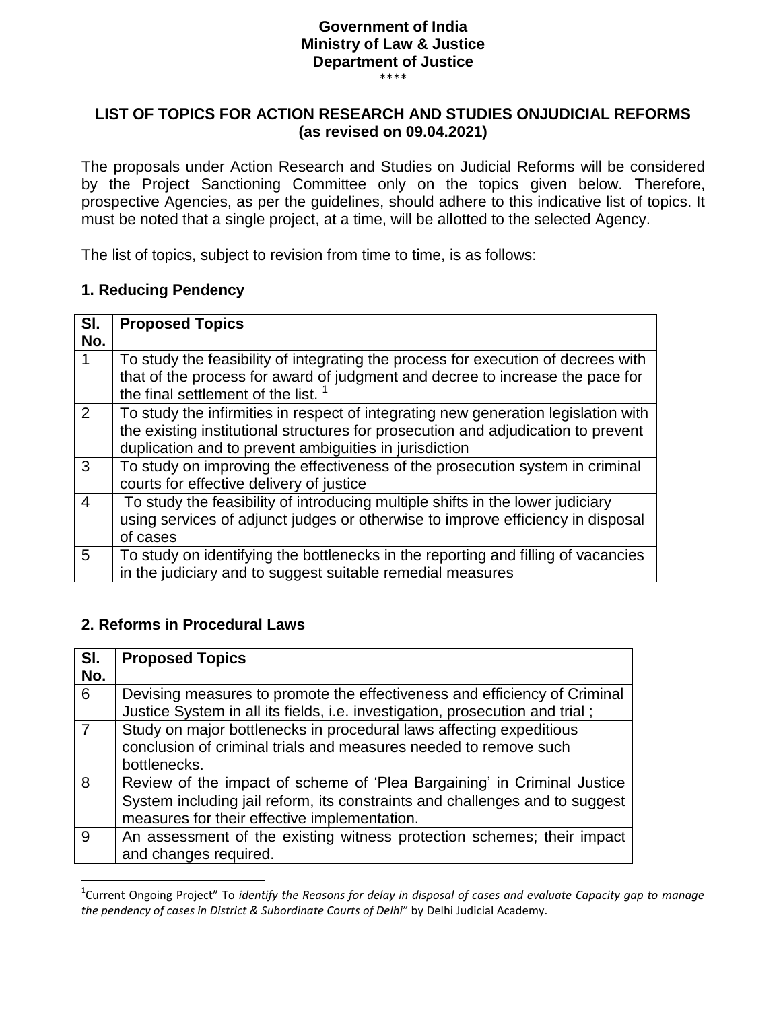### **Government of India Ministry of Law & Justice Department of Justice**

\*\*\*\*

#### **LIST OF TOPICS FOR ACTION RESEARCH AND STUDIES ONJUDICIAL REFORMS (as revised on 09.04.2021)**

The proposals under Action Research and Studies on Judicial Reforms will be considered by the Project Sanctioning Committee only on the topics given below. Therefore, prospective Agencies, as per the guidelines, should adhere to this indicative list of topics. It must be noted that a single project, at a time, will be allotted to the selected Agency.

The list of topics, subject to revision from time to time, is as follows:

#### **1. Reducing Pendency**

| SI. | <b>Proposed Topics</b>                                                                                                          |
|-----|---------------------------------------------------------------------------------------------------------------------------------|
| No. |                                                                                                                                 |
|     | To study the feasibility of integrating the process for execution of decrees with                                               |
|     | that of the process for award of judgment and decree to increase the pace for<br>the final settlement of the list. <sup>1</sup> |
|     |                                                                                                                                 |
| 2   | To study the infirmities in respect of integrating new generation legislation with                                              |
|     | the existing institutional structures for prosecution and adjudication to prevent                                               |
|     | duplication and to prevent ambiguities in jurisdiction                                                                          |
| 3   | To study on improving the effectiveness of the prosecution system in criminal                                                   |
|     | courts for effective delivery of justice                                                                                        |
| 4   | To study the feasibility of introducing multiple shifts in the lower judiciary                                                  |
|     | using services of adjunct judges or otherwise to improve efficiency in disposal                                                 |
|     | of cases                                                                                                                        |
| 5   | To study on identifying the bottlenecks in the reporting and filling of vacancies                                               |
|     | in the judiciary and to suggest suitable remedial measures                                                                      |

### **2. Reforms in Procedural Laws**

l

| SI. | <b>Proposed Topics</b>                                                       |
|-----|------------------------------------------------------------------------------|
| No. |                                                                              |
| 6   | Devising measures to promote the effectiveness and efficiency of Criminal    |
|     | Justice System in all its fields, i.e. investigation, prosecution and trial; |
|     | Study on major bottlenecks in procedural laws affecting expeditious          |
|     | conclusion of criminal trials and measures needed to remove such             |
|     | bottlenecks.                                                                 |
| 8   | Review of the impact of scheme of 'Plea Bargaining' in Criminal Justice      |
|     | System including jail reform, its constraints and challenges and to suggest  |
|     | measures for their effective implementation.                                 |
| g   | An assessment of the existing witness protection schemes; their impact       |
|     | and changes required.                                                        |

<sup>1</sup> Current Ongoing Project" To *identify the Reasons for delay in disposal of cases and evaluate Capacity gap to manage the pendency of cases in District & Subordinate Courts of Delhi*" by Delhi Judicial Academy.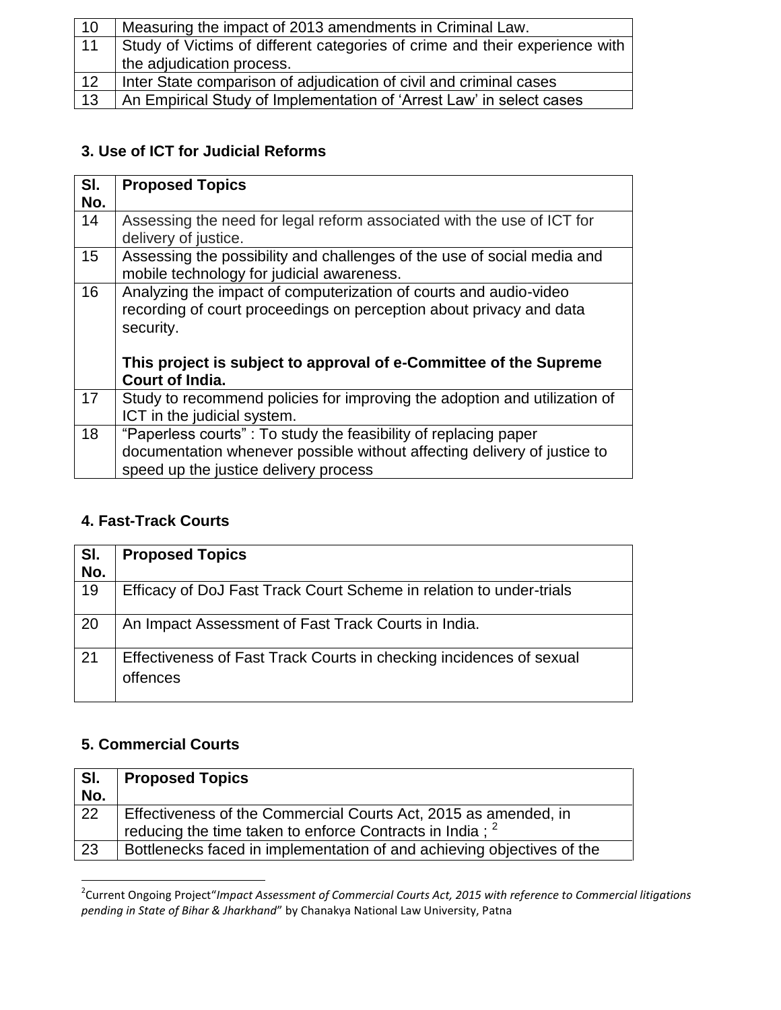| $ 10\rangle$ | Measuring the impact of 2013 amendments in Criminal Law.                    |
|--------------|-----------------------------------------------------------------------------|
| 11           | Study of Victims of different categories of crime and their experience with |
|              | the adjudication process.                                                   |
| 12           | Inter State comparison of adjudication of civil and criminal cases          |
| 13           | An Empirical Study of Implementation of 'Arrest Law' in select cases        |

### **3. Use of ICT for Judicial Reforms**

| SI.<br>No. | <b>Proposed Topics</b>                                                                                                                                                                                                                        |
|------------|-----------------------------------------------------------------------------------------------------------------------------------------------------------------------------------------------------------------------------------------------|
| 14         | Assessing the need for legal reform associated with the use of ICT for<br>delivery of justice.                                                                                                                                                |
| 15         | Assessing the possibility and challenges of the use of social media and<br>mobile technology for judicial awareness.                                                                                                                          |
| 16         | Analyzing the impact of computerization of courts and audio-video<br>recording of court proceedings on perception about privacy and data<br>security.<br>This project is subject to approval of e-Committee of the Supreme<br>Court of India. |
| 17         | Study to recommend policies for improving the adoption and utilization of<br>ICT in the judicial system.                                                                                                                                      |
| 18         | "Paperless courts": To study the feasibility of replacing paper<br>documentation whenever possible without affecting delivery of justice to<br>speed up the justice delivery process                                                          |

## **4. Fast-Track Courts**

| SI.<br>No. | <b>Proposed Topics</b>                                                          |
|------------|---------------------------------------------------------------------------------|
| 19         | Efficacy of DoJ Fast Track Court Scheme in relation to under-trials             |
| 20         | An Impact Assessment of Fast Track Courts in India.                             |
| 21         | Effectiveness of Fast Track Courts in checking incidences of sexual<br>offences |

## **5. Commercial Courts**

| SI.<br>No. | <b>Proposed Topics</b>                                                 |
|------------|------------------------------------------------------------------------|
|            |                                                                        |
| 22         | Effectiveness of the Commercial Courts Act, 2015 as amended, in        |
|            | reducing the time taken to enforce Contracts in India; <sup>2</sup>    |
| 23         | Bottlenecks faced in implementation of and achieving objectives of the |

 2 Current Ongoing Project"*Impact Assessment of Commercial Courts Act, 2015 with reference to Commercial litigations pending in State of Bihar & Jharkhand*" by Chanakya National Law University, Patna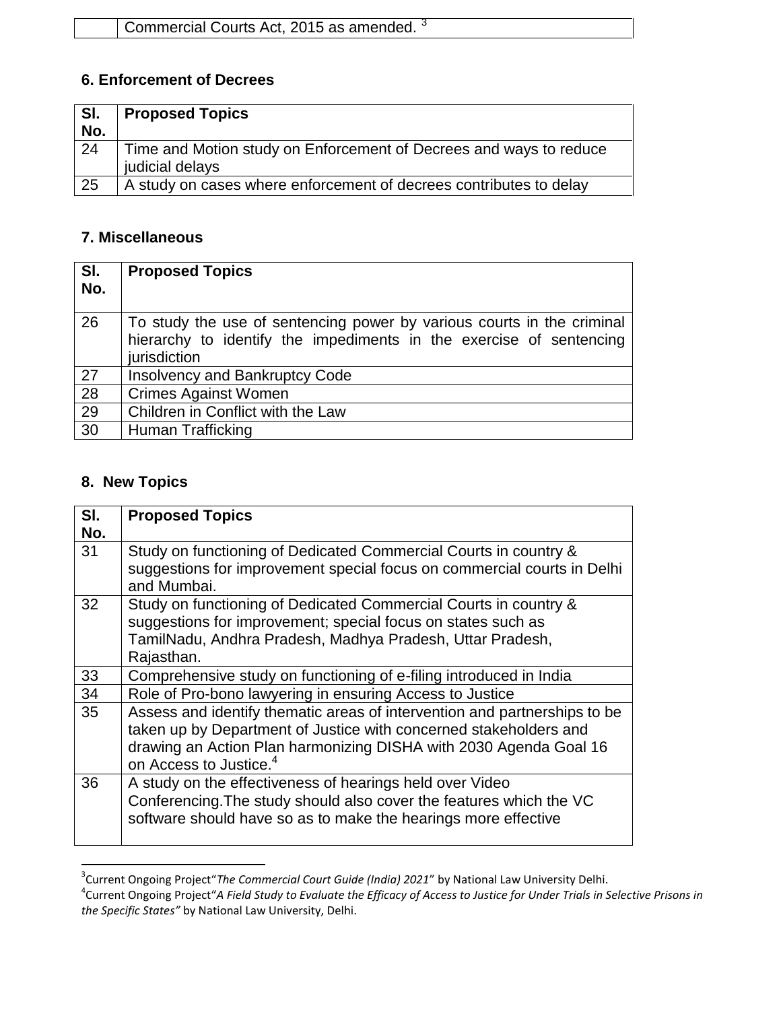### **6. Enforcement of Decrees**

| SI. | <b>Proposed Topics</b>                                                                |
|-----|---------------------------------------------------------------------------------------|
| No. |                                                                                       |
| 24  | Time and Motion study on Enforcement of Decrees and ways to reduce<br>judicial delays |
| 25  | A study on cases where enforcement of decrees contributes to delay                    |

#### **7. Miscellaneous**

| SI.<br>No. | <b>Proposed Topics</b>                                                                                                                                        |
|------------|---------------------------------------------------------------------------------------------------------------------------------------------------------------|
| 26         | To study the use of sentencing power by various courts in the criminal<br>hierarchy to identify the impediments in the exercise of sentencing<br>jurisdiction |
| 27         | <b>Insolvency and Bankruptcy Code</b>                                                                                                                         |
| 28         | <b>Crimes Against Women</b>                                                                                                                                   |
| 29         | Children in Conflict with the Law                                                                                                                             |
| 30         | Human Trafficking                                                                                                                                             |

# **8. New Topics**

| SI.<br>No. | <b>Proposed Topics</b>                                                                                                                                                                                                                                    |
|------------|-----------------------------------------------------------------------------------------------------------------------------------------------------------------------------------------------------------------------------------------------------------|
| 31         | Study on functioning of Dedicated Commercial Courts in country &<br>suggestions for improvement special focus on commercial courts in Delhi<br>and Mumbai.                                                                                                |
| 32         | Study on functioning of Dedicated Commercial Courts in country &<br>suggestions for improvement; special focus on states such as<br>TamilNadu, Andhra Pradesh, Madhya Pradesh, Uttar Pradesh,<br>Rajasthan.                                               |
| 33         | Comprehensive study on functioning of e-filing introduced in India                                                                                                                                                                                        |
| 34         | Role of Pro-bono lawyering in ensuring Access to Justice                                                                                                                                                                                                  |
| 35         | Assess and identify thematic areas of intervention and partnerships to be<br>taken up by Department of Justice with concerned stakeholders and<br>drawing an Action Plan harmonizing DISHA with 2030 Agenda Goal 16<br>on Access to Justice. <sup>4</sup> |
| 36         | A study on the effectiveness of hearings held over Video<br>Conferencing. The study should also cover the features which the VC<br>software should have so as to make the hearings more effective                                                         |

 3 Current Ongoing Project"*The Commercial Court Guide (India) 2021*" by National Law University Delhi.

<sup>4</sup> Current Ongoing Project"*A Field Study to Evaluate the Efficacy of Access to Justice for Under Trials in Selective Prisons in the Specific States"* by National Law University, Delhi.